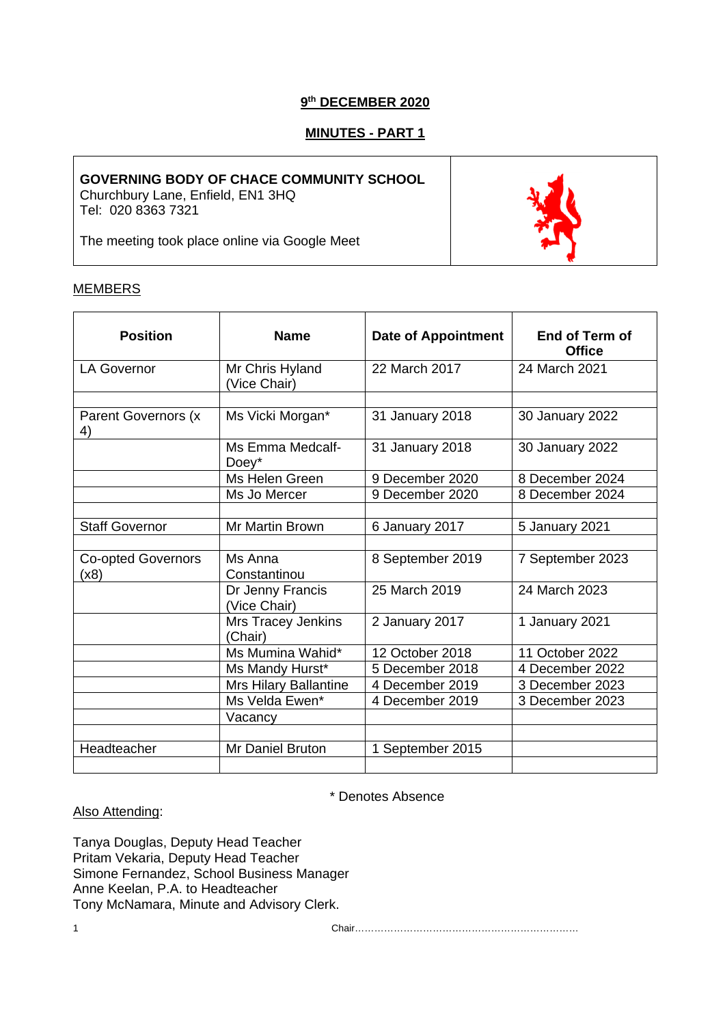# **9th DECEMBER 2020**

# **MINUTES - PART 1**

### **GOVERNING BODY OF CHACE COMMUNITY SCHOOL**

Churchbury Lane, Enfield, EN1 3HQ Tel: 020 8363 7321

The meeting took place online via Google Meet

### **MEMBERS**

| <b>Position</b>                   | <b>Name</b>                      | <b>Date of Appointment</b> | End of Term of<br><b>Office</b> |
|-----------------------------------|----------------------------------|----------------------------|---------------------------------|
| <b>LA Governor</b>                | Mr Chris Hyland<br>(Vice Chair)  | 22 March 2017              | 24 March 2021                   |
|                                   |                                  |                            |                                 |
| Parent Governors (x<br>4)         | Ms Vicki Morgan*                 | 31 January 2018            | 30 January 2022                 |
|                                   | Ms Emma Medcalf-<br>$Doey^*$     | 31 January 2018            | 30 January 2022                 |
|                                   | Ms Helen Green                   | 9 December 2020            | 8 December 2024                 |
|                                   | Ms Jo Mercer                     | 9 December 2020            | 8 December 2024                 |
|                                   |                                  |                            |                                 |
| <b>Staff Governor</b>             | Mr Martin Brown                  | 6 January 2017             | 5 January 2021                  |
|                                   |                                  |                            |                                 |
| <b>Co-opted Governors</b><br>(x8) | Ms Anna<br>Constantinou          | 8 September 2019           | 7 September 2023                |
|                                   | Dr Jenny Francis<br>(Vice Chair) | 25 March 2019              | 24 March 2023                   |
|                                   | Mrs Tracey Jenkins<br>(Chair)    | 2 January 2017             | 1 January 2021                  |
|                                   | Ms Mumina Wahid*                 | 12 October 2018            | 11 October 2022                 |
|                                   | Ms Mandy Hurst*                  | 5 December 2018            | 4 December 2022                 |
|                                   | <b>Mrs Hilary Ballantine</b>     | 4 December 2019            | 3 December 2023                 |
|                                   | Ms Velda Ewen*                   | 4 December 2019            | 3 December 2023                 |
|                                   | Vacancy                          |                            |                                 |
|                                   |                                  |                            |                                 |
| Headteacher                       | Mr Daniel Bruton                 | 1 September 2015           |                                 |

\* Denotes Absence

### Also Attending:

Tanya Douglas, Deputy Head Teacher Pritam Vekaria, Deputy Head Teacher Simone Fernandez, School Business Manager Anne Keelan, P.A. to Headteacher Tony McNamara, Minute and Advisory Clerk.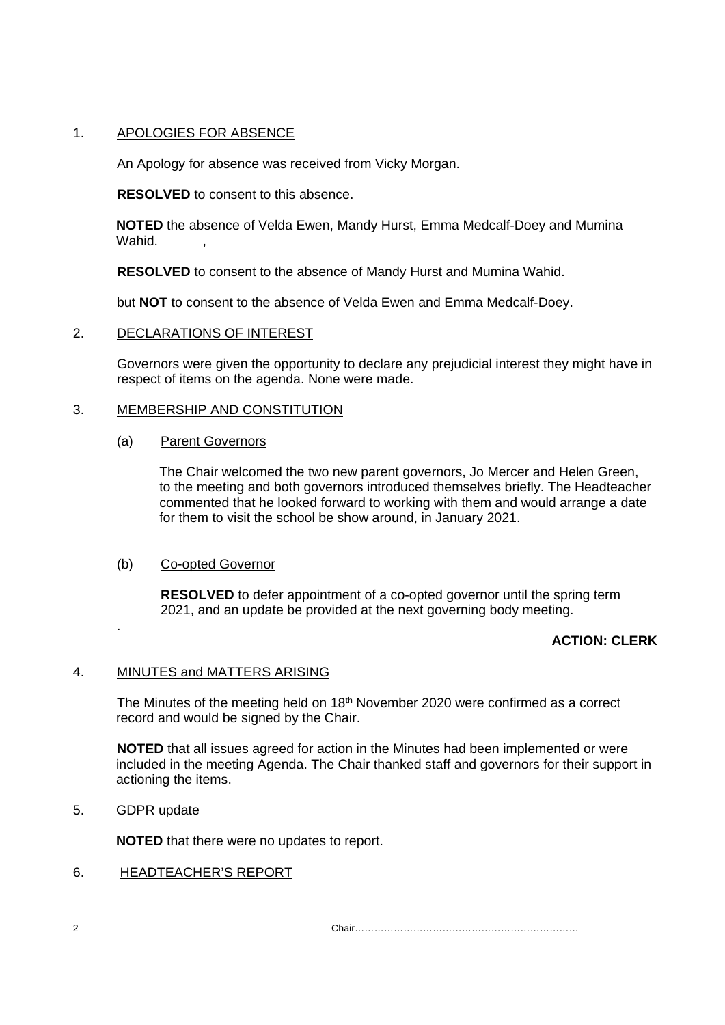# 1. APOLOGIES FOR ABSENCE

An Apology for absence was received from Vicky Morgan.

**RESOLVED** to consent to this absence.

**NOTED** the absence of Velda Ewen, Mandy Hurst, Emma Medcalf-Doey and Mumina Wahid.

**RESOLVED** to consent to the absence of Mandy Hurst and Mumina Wahid.

but **NOT** to consent to the absence of Velda Ewen and Emma Medcalf-Doey.

# 2. DECLARATIONS OF INTEREST

Governors were given the opportunity to declare any prejudicial interest they might have in respect of items on the agenda. None were made.

# 3. MEMBERSHIP AND CONSTITUTION

# (a) Parent Governors

The Chair welcomed the two new parent governors, Jo Mercer and Helen Green, to the meeting and both governors introduced themselves briefly. The Headteacher commented that he looked forward to working with them and would arrange a date for them to visit the school be show around, in January 2021.

# (b) Co-opted Governor

**RESOLVED** to defer appointment of a co-opted governor until the spring term 2021, and an update be provided at the next governing body meeting.

# **ACTION: CLERK**

# 4. MINUTES and MATTERS ARISING

The Minutes of the meeting held on 18th November 2020 were confirmed as a correct record and would be signed by the Chair.

**NOTED** that all issues agreed for action in the Minutes had been implemented or were included in the meeting Agenda. The Chair thanked staff and governors for their support in actioning the items.

# 5. GDPR update

.

**NOTED** that there were no updates to report.

# 6. HEADTEACHER'S REPORT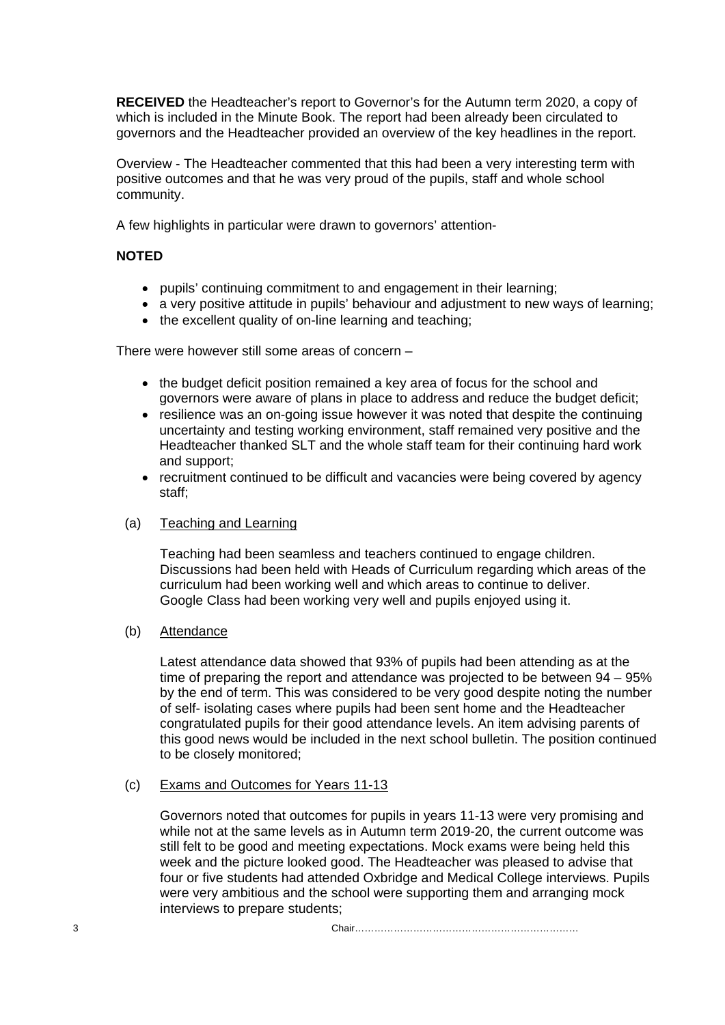**RECEIVED** the Headteacher's report to Governor's for the Autumn term 2020, a copy of which is included in the Minute Book. The report had been already been circulated to governors and the Headteacher provided an overview of the key headlines in the report.

Overview - The Headteacher commented that this had been a very interesting term with positive outcomes and that he was very proud of the pupils, staff and whole school community.

A few highlights in particular were drawn to governors' attention-

# **NOTED**

- pupils' continuing commitment to and engagement in their learning;
- a very positive attitude in pupils' behaviour and adjustment to new ways of learning:
- the excellent quality of on-line learning and teaching;

There were however still some areas of concern –

- the budget deficit position remained a key area of focus for the school and governors were aware of plans in place to address and reduce the budget deficit;
- resilience was an on-going issue however it was noted that despite the continuing uncertainty and testing working environment, staff remained very positive and the Headteacher thanked SLT and the whole staff team for their continuing hard work and support;
- recruitment continued to be difficult and vacancies were being covered by agency staff;

# (a) Teaching and Learning

Teaching had been seamless and teachers continued to engage children. Discussions had been held with Heads of Curriculum regarding which areas of the curriculum had been working well and which areas to continue to deliver. Google Class had been working very well and pupils enjoyed using it.

# (b) Attendance

Latest attendance data showed that 93% of pupils had been attending as at the time of preparing the report and attendance was projected to be between 94 – 95% by the end of term. This was considered to be very good despite noting the number of self- isolating cases where pupils had been sent home and the Headteacher congratulated pupils for their good attendance levels. An item advising parents of this good news would be included in the next school bulletin. The position continued to be closely monitored;

#### (c) Exams and Outcomes for Years 11-13

Governors noted that outcomes for pupils in years 11-13 were very promising and while not at the same levels as in Autumn term 2019-20, the current outcome was still felt to be good and meeting expectations. Mock exams were being held this week and the picture looked good. The Headteacher was pleased to advise that four or five students had attended Oxbridge and Medical College interviews. Pupils were very ambitious and the school were supporting them and arranging mock interviews to prepare students;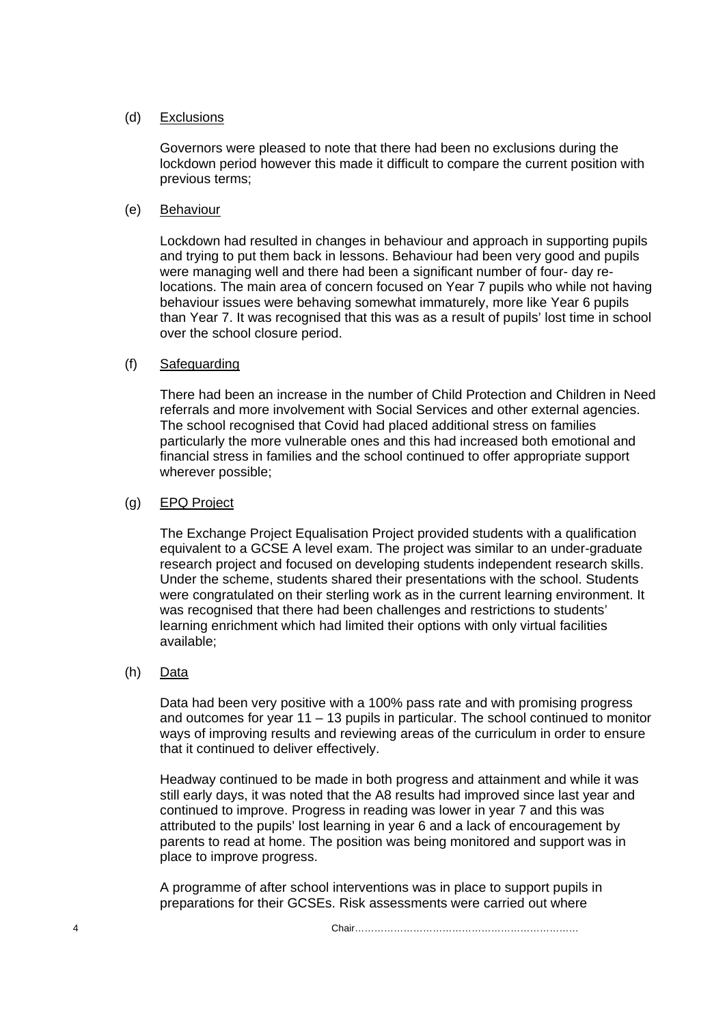### (d) Exclusions

Governors were pleased to note that there had been no exclusions during the lockdown period however this made it difficult to compare the current position with previous terms;

### (e) Behaviour

Lockdown had resulted in changes in behaviour and approach in supporting pupils and trying to put them back in lessons. Behaviour had been very good and pupils were managing well and there had been a significant number of four- day relocations. The main area of concern focused on Year 7 pupils who while not having behaviour issues were behaving somewhat immaturely, more like Year 6 pupils than Year 7. It was recognised that this was as a result of pupils' lost time in school over the school closure period.

### (f) Safeguarding

There had been an increase in the number of Child Protection and Children in Need referrals and more involvement with Social Services and other external agencies. The school recognised that Covid had placed additional stress on families particularly the more vulnerable ones and this had increased both emotional and financial stress in families and the school continued to offer appropriate support wherever possible;

### (g) EPQ Project

The Exchange Project Equalisation Project provided students with a qualification equivalent to a GCSE A level exam. The project was similar to an under-graduate research project and focused on developing students independent research skills. Under the scheme, students shared their presentations with the school. Students were congratulated on their sterling work as in the current learning environment. It was recognised that there had been challenges and restrictions to students' learning enrichment which had limited their options with only virtual facilities available;

### (h) Data

Data had been very positive with a 100% pass rate and with promising progress and outcomes for year 11 – 13 pupils in particular. The school continued to monitor ways of improving results and reviewing areas of the curriculum in order to ensure that it continued to deliver effectively.

Headway continued to be made in both progress and attainment and while it was still early days, it was noted that the A8 results had improved since last year and continued to improve. Progress in reading was lower in year 7 and this was attributed to the pupils' lost learning in year 6 and a lack of encouragement by parents to read at home. The position was being monitored and support was in place to improve progress.

A programme of after school interventions was in place to support pupils in preparations for their GCSEs. Risk assessments were carried out where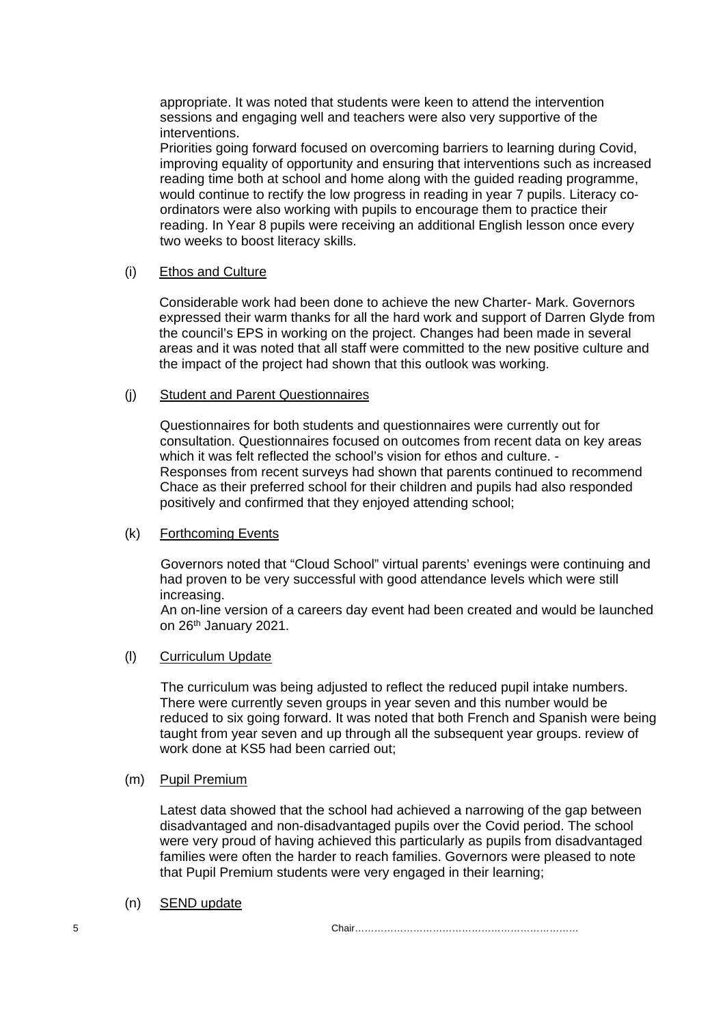appropriate. It was noted that students were keen to attend the intervention sessions and engaging well and teachers were also very supportive of the interventions.

Priorities going forward focused on overcoming barriers to learning during Covid, improving equality of opportunity and ensuring that interventions such as increased reading time both at school and home along with the guided reading programme, would continue to rectify the low progress in reading in year 7 pupils. Literacy coordinators were also working with pupils to encourage them to practice their reading. In Year 8 pupils were receiving an additional English lesson once every two weeks to boost literacy skills.

#### (i) Ethos and Culture

Considerable work had been done to achieve the new Charter- Mark. Governors expressed their warm thanks for all the hard work and support of Darren Glyde from the council's EPS in working on the project. Changes had been made in several areas and it was noted that all staff were committed to the new positive culture and the impact of the project had shown that this outlook was working.

#### (j) Student and Parent Questionnaires

Questionnaires for both students and questionnaires were currently out for consultation. Questionnaires focused on outcomes from recent data on key areas which it was felt reflected the school's vision for ethos and culture. -Responses from recent surveys had shown that parents continued to recommend Chace as their preferred school for their children and pupils had also responded positively and confirmed that they enjoyed attending school;

#### (k) Forthcoming Events

Governors noted that "Cloud School" virtual parents' evenings were continuing and had proven to be very successful with good attendance levels which were still increasing.

An on-line version of a careers day event had been created and would be launched on 26<sup>th</sup> January 2021.

#### (l) Curriculum Update

The curriculum was being adjusted to reflect the reduced pupil intake numbers. There were currently seven groups in year seven and this number would be reduced to six going forward. It was noted that both French and Spanish were being taught from year seven and up through all the subsequent year groups. review of work done at KS5 had been carried out;

#### (m) Pupil Premium

Latest data showed that the school had achieved a narrowing of the gap between disadvantaged and non-disadvantaged pupils over the Covid period. The school were very proud of having achieved this particularly as pupils from disadvantaged families were often the harder to reach families. Governors were pleased to note that Pupil Premium students were very engaged in their learning;

(n) SEND update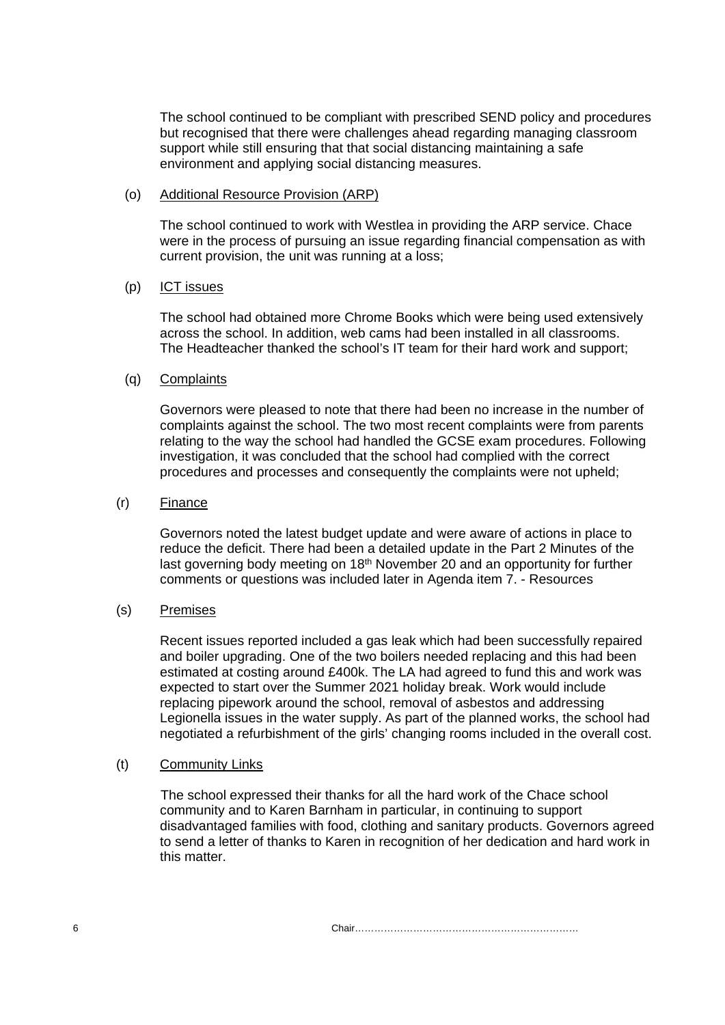The school continued to be compliant with prescribed SEND policy and procedures but recognised that there were challenges ahead regarding managing classroom support while still ensuring that that social distancing maintaining a safe environment and applying social distancing measures.

### (o) Additional Resource Provision (ARP)

The school continued to work with Westlea in providing the ARP service. Chace were in the process of pursuing an issue regarding financial compensation as with current provision, the unit was running at a loss;

# (p) ICT issues

The school had obtained more Chrome Books which were being used extensively across the school. In addition, web cams had been installed in all classrooms. The Headteacher thanked the school's IT team for their hard work and support;

### (q) Complaints

Governors were pleased to note that there had been no increase in the number of complaints against the school. The two most recent complaints were from parents relating to the way the school had handled the GCSE exam procedures. Following investigation, it was concluded that the school had complied with the correct procedures and processes and consequently the complaints were not upheld;

### (r) Finance

Governors noted the latest budget update and were aware of actions in place to reduce the deficit. There had been a detailed update in the Part 2 Minutes of the last governing body meeting on 18<sup>th</sup> November 20 and an opportunity for further comments or questions was included later in Agenda item 7. - Resources

# (s) Premises

Recent issues reported included a gas leak which had been successfully repaired and boiler upgrading. One of the two boilers needed replacing and this had been estimated at costing around £400k. The LA had agreed to fund this and work was expected to start over the Summer 2021 holiday break. Work would include replacing pipework around the school, removal of asbestos and addressing Legionella issues in the water supply. As part of the planned works, the school had negotiated a refurbishment of the girls' changing rooms included in the overall cost.

#### (t) Community Links

The school expressed their thanks for all the hard work of the Chace school community and to Karen Barnham in particular, in continuing to support disadvantaged families with food, clothing and sanitary products. Governors agreed to send a letter of thanks to Karen in recognition of her dedication and hard work in this matter.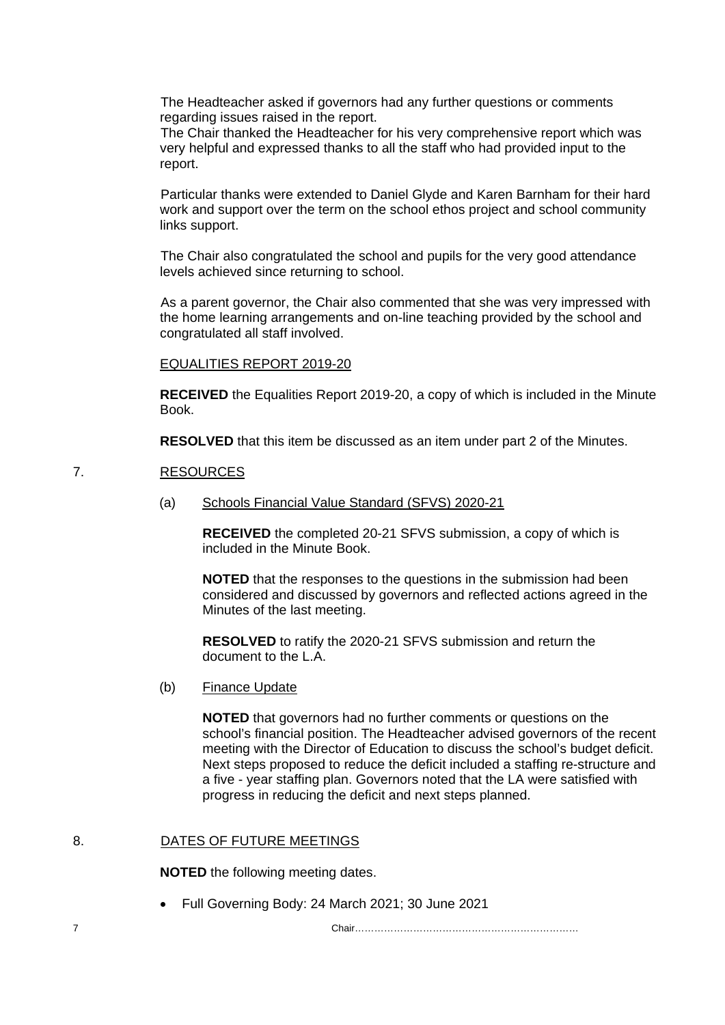The Headteacher asked if governors had any further questions or comments regarding issues raised in the report.

The Chair thanked the Headteacher for his very comprehensive report which was very helpful and expressed thanks to all the staff who had provided input to the report.

Particular thanks were extended to Daniel Glyde and Karen Barnham for their hard work and support over the term on the school ethos project and school community links support.

The Chair also congratulated the school and pupils for the very good attendance levels achieved since returning to school.

As a parent governor, the Chair also commented that she was very impressed with the home learning arrangements and on-line teaching provided by the school and congratulated all staff involved.

EQUALITIES REPORT 2019-20

**RECEIVED** the Equalities Report 2019-20, a copy of which is included in the Minute Book.

**RESOLVED** that this item be discussed as an item under part 2 of the Minutes.

#### 7. RESOURCES

(a) Schools Financial Value Standard (SFVS) 2020-21

**RECEIVED** the completed 20-21 SFVS submission, a copy of which is included in the Minute Book.

**NOTED** that the responses to the questions in the submission had been considered and discussed by governors and reflected actions agreed in the Minutes of the last meeting.

**RESOLVED** to ratify the 2020-21 SFVS submission and return the document to the L.A.

(b) Finance Update

**NOTED** that governors had no further comments or questions on the school's financial position. The Headteacher advised governors of the recent meeting with the Director of Education to discuss the school's budget deficit. Next steps proposed to reduce the deficit included a staffing re-structure and a five - year staffing plan. Governors noted that the LA were satisfied with progress in reducing the deficit and next steps planned.

### 8. DATES OF FUTURE MEETINGS

**NOTED** the following meeting dates.

• Full Governing Body: 24 March 2021; 30 June 2021